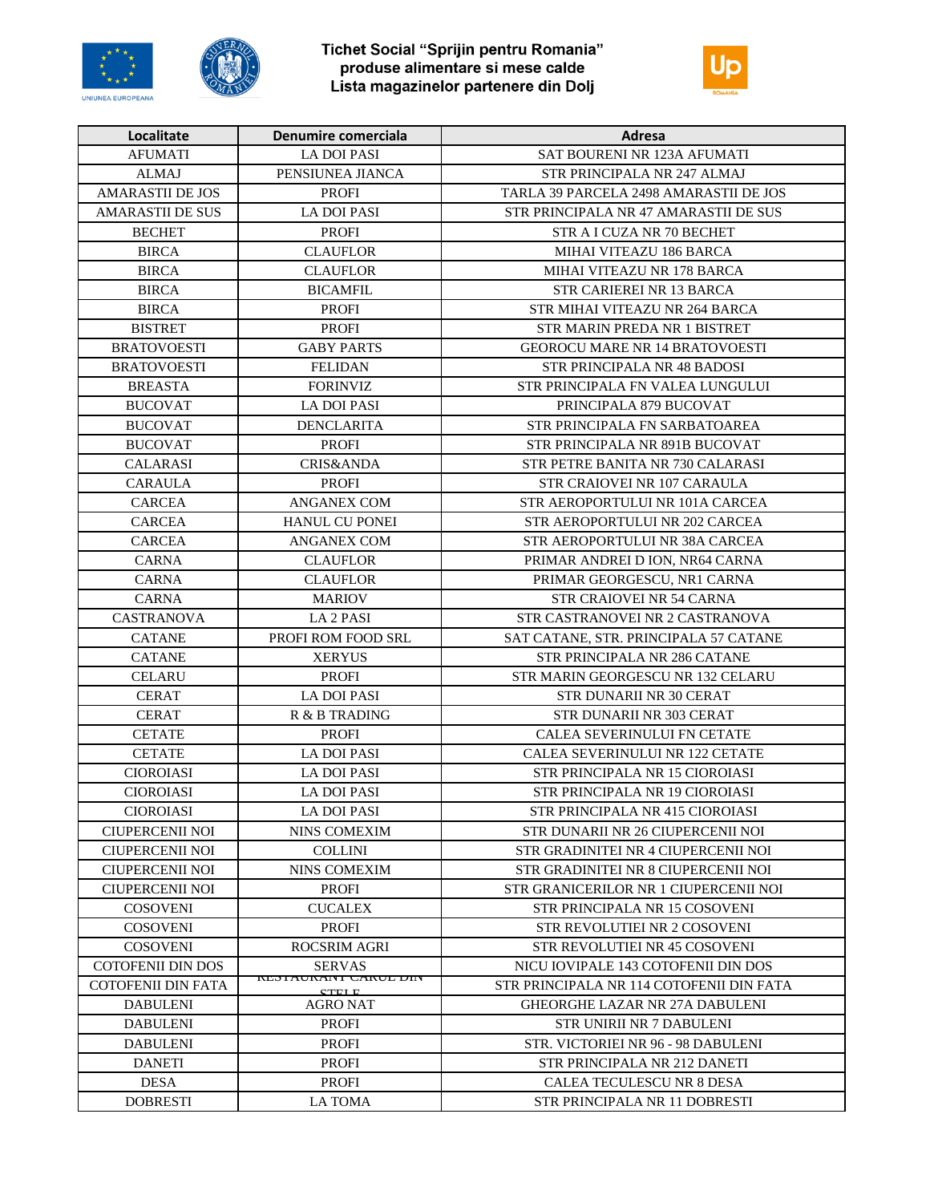





| Localitate              | Denumire comerciala                         | Adresa                                   |
|-------------------------|---------------------------------------------|------------------------------------------|
| <b>AFUMATI</b>          | <b>LA DOI PASI</b>                          | SAT BOURENI NR 123A AFUMATI              |
| <b>ALMAJ</b>            | PENSIUNEA JIANCA                            | STR PRINCIPALA NR 247 ALMAJ              |
| <b>AMARASTII DE JOS</b> | <b>PROFI</b>                                | TARLA 39 PARCELA 2498 AMARASTII DE JOS   |
| <b>AMARASTII DE SUS</b> | <b>LA DOI PASI</b>                          | STR PRINCIPALA NR 47 AMARASTII DE SUS    |
| <b>BECHET</b>           | <b>PROFI</b>                                | STR A I CUZA NR 70 BECHET                |
| <b>BIRCA</b>            | <b>CLAUFLOR</b>                             | MIHAI VITEAZU 186 BARCA                  |
| <b>BIRCA</b>            | <b>CLAUFLOR</b>                             | MIHAI VITEAZU NR 178 BARCA               |
| <b>BIRCA</b>            | <b>BICAMFIL</b>                             | STR CARIEREI NR 13 BARCA                 |
| <b>BIRCA</b>            | <b>PROFI</b>                                | STR MIHAI VITEAZU NR 264 BARCA           |
| <b>BISTRET</b>          | <b>PROFI</b>                                | STR MARIN PREDA NR 1 BISTRET             |
| <b>BRATOVOESTI</b>      | <b>GABY PARTS</b>                           | <b>GEOROCU MARE NR 14 BRATOVOESTI</b>    |
| <b>BRATOVOESTI</b>      | <b>FELIDAN</b>                              | STR PRINCIPALA NR 48 BADOSI              |
| <b>BREASTA</b>          | <b>FORINVIZ</b>                             | STR PRINCIPALA FN VALEA LUNGULUI         |
| <b>BUCOVAT</b>          | <b>LA DOI PASI</b>                          | PRINCIPALA 879 BUCOVAT                   |
| <b>BUCOVAT</b>          | DENCLARITA                                  | STR PRINCIPALA FN SARBATOAREA            |
| <b>BUCOVAT</b>          | <b>PROFI</b>                                | STR PRINCIPALA NR 891B BUCOVAT           |
| <b>CALARASI</b>         | <b>CRIS&amp;ANDA</b>                        | STR PETRE BANITA NR 730 CALARASI         |
| <b>CARAULA</b>          | <b>PROFI</b>                                | STR CRAIOVEI NR 107 CARAULA              |
| <b>CARCEA</b>           | <b>ANGANEX COM</b>                          | STR AEROPORTULUI NR 101A CARCEA          |
| <b>CARCEA</b>           | <b>HANUL CU PONEI</b>                       | STR AEROPORTULUI NR 202 CARCEA           |
| <b>CARCEA</b>           | <b>ANGANEX COM</b>                          | STR AEROPORTULUI NR 38A CARCEA           |
| <b>CARNA</b>            | <b>CLAUFLOR</b>                             | PRIMAR ANDREI D ION, NR64 CARNA          |
| <b>CARNA</b>            | <b>CLAUFLOR</b>                             | PRIMAR GEORGESCU, NR1 CARNA              |
| <b>CARNA</b>            | <b>MARIOV</b>                               | <b>STR CRAIOVEI NR 54 CARNA</b>          |
| <b>CASTRANOVA</b>       | LA 2 PASI                                   | STR CASTRANOVEI NR 2 CASTRANOVA          |
| <b>CATANE</b>           | PROFI ROM FOOD SRL                          | SAT CATANE, STR. PRINCIPALA 57 CATANE    |
| <b>CATANE</b>           | <b>XERYUS</b>                               | STR PRINCIPALA NR 286 CATANE             |
| CELARU                  | <b>PROFI</b>                                | STR MARIN GEORGESCU NR 132 CELARU        |
| <b>CERAT</b>            | LA DOI PASI                                 | STR DUNARII NR 30 CERAT                  |
| <b>CERAT</b>            | R & B TRADING                               | STR DUNARII NR 303 CERAT                 |
| <b>CETATE</b>           | <b>PROFI</b>                                | CALEA SEVERINULUI FN CETATE              |
| <b>CETATE</b>           | <b>LA DOI PASI</b>                          | <b>CALEA SEVERINULUI NR 122 CETATE</b>   |
| <b>CIOROIASI</b>        | <b>LA DOI PASI</b>                          | STR PRINCIPALA NR 15 CIOROIASI           |
| <b>CIOROIASI</b>        | <b>LA DOI PASI</b>                          | STR PRINCIPALA NR 19 CIOROIASI           |
| <b>CIOROIASI</b>        | <b>LA DOI PASI</b>                          | STR PRINCIPALA NR 415 CIOROIASI          |
| CIUPERCENII NOI         | NINS COMEXIM                                | STR DUNARII NR 26 CIUPERCENII NOI        |
| <b>CIUPERCENII NOI</b>  | <b>COLLINI</b>                              | STR GRADINITEI NR 4 CIUPERCENII NOI      |
| CIUPERCENII NOI         | NINS COMEXIM                                | STR GRADINITEI NR 8 CIUPERCENII NOI      |
| CIUPERCENII NOI         | <b>PROFI</b>                                | STR GRANICERILOR NR 1 CIUPERCENII NOI    |
| <b>COSOVENI</b>         | <b>CUCALEX</b>                              | STR PRINCIPALA NR 15 COSOVENI            |
| <b>COSOVENI</b>         | <b>PROFI</b>                                | STR REVOLUTIEI NR 2 COSOVENI             |
| <b>COSOVENI</b>         | ROCSRIM AGRI                                | STR REVOLUTIEI NR 45 COSOVENI            |
| COTOFENII DIN DOS       | <b>SERVAS</b>                               | NICU IOVIPALE 143 COTOFENII DIN DOS      |
| COTOFENII DIN FATA      | <b>RESTAURANT CAROL DIN</b><br><b>CTELE</b> | STR PRINCIPALA NR 114 COTOFENII DIN FATA |
| <b>DABULENI</b>         | AGRO NAT                                    | <b>GHEORGHE LAZAR NR 27A DABULENI</b>    |
| <b>DABULENI</b>         | <b>PROFI</b>                                | STR UNIRII NR 7 DABULENI                 |
| <b>DABULENI</b>         | <b>PROFI</b>                                | STR. VICTORIEI NR 96 - 98 DABULENI       |
| <b>DANETI</b>           | <b>PROFI</b>                                | STR PRINCIPALA NR 212 DANETI             |
| <b>DESA</b>             | <b>PROFI</b>                                | CALEA TECULESCU NR 8 DESA                |
| <b>DOBRESTI</b>         | LA TOMA                                     | STR PRINCIPALA NR 11 DOBRESTI            |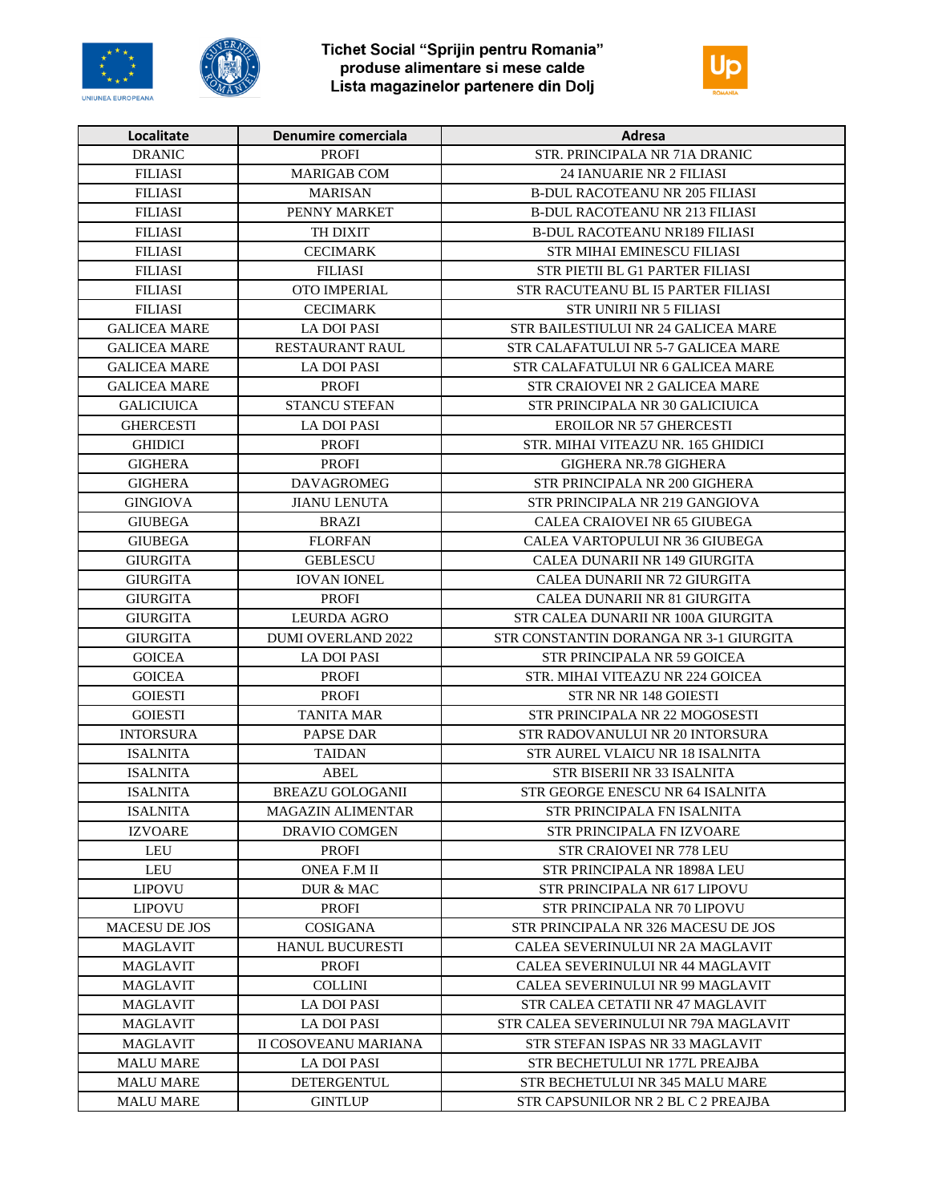





| Localitate          | Denumire comerciala       | Adresa                                 |
|---------------------|---------------------------|----------------------------------------|
| <b>DRANIC</b>       | <b>PROFI</b>              | STR. PRINCIPALA NR 71A DRANIC          |
| <b>FILIASI</b>      | <b>MARIGAB COM</b>        | <b>24 IANUARIE NR 2 FILIASI</b>        |
| <b>FILIASI</b>      | <b>MARISAN</b>            | <b>B-DUL RACOTEANU NR 205 FILIASI</b>  |
| <b>FILIASI</b>      | PENNY MARKET              | <b>B-DUL RACOTEANU NR 213 FILIASI</b>  |
| <b>FILIASI</b>      | TH DIXIT                  | <b>B-DUL RACOTEANU NR189 FILIASI</b>   |
| <b>FILIASI</b>      | <b>CECIMARK</b>           | STR MIHAI EMINESCU FILIASI             |
| <b>FILIASI</b>      | <b>FILIASI</b>            | STR PIETII BL G1 PARTER FILIASI        |
| <b>FILIASI</b>      | OTO IMPERIAL              | STR RACUTEANU BL I5 PARTER FILIASI     |
| <b>FILIASI</b>      | <b>CECIMARK</b>           | <b>STR UNIRII NR 5 FILIASI</b>         |
| <b>GALICEA MARE</b> | <b>LA DOI PASI</b>        | STR BAILESTIULUI NR 24 GALICEA MARE    |
| <b>GALICEA MARE</b> | <b>RESTAURANT RAUL</b>    | STR CALAFATULUI NR 5-7 GALICEA MARE    |
| <b>GALICEA MARE</b> | <b>LA DOI PASI</b>        | STR CALAFATULUI NR 6 GALICEA MARE      |
| <b>GALICEA MARE</b> | <b>PROFI</b>              | STR CRAIOVEI NR 2 GALICEA MARE         |
| <b>GALICIUICA</b>   | STANCU STEFAN             | STR PRINCIPALA NR 30 GALICIUICA        |
| <b>GHERCESTI</b>    | <b>LA DOI PASI</b>        | <b>EROILOR NR 57 GHERCESTI</b>         |
| <b>GHIDICI</b>      | <b>PROFI</b>              | STR. MIHAI VITEAZU NR. 165 GHIDICI     |
| <b>GIGHERA</b>      | <b>PROFI</b>              | GIGHERA NR.78 GIGHERA                  |
| <b>GIGHERA</b>      | <b>DAVAGROMEG</b>         | STR PRINCIPALA NR 200 GIGHERA          |
| <b>GINGIOVA</b>     | <b>JIANU LENUTA</b>       | STR PRINCIPALA NR 219 GANGIOVA         |
| <b>GIUBEGA</b>      | <b>BRAZI</b>              | CALEA CRAIOVEI NR 65 GIUBEGA           |
| <b>GIUBEGA</b>      | <b>FLORFAN</b>            | CALEA VARTOPULUI NR 36 GIUBEGA         |
| <b>GIURGITA</b>     | <b>GEBLESCU</b>           | CALEA DUNARII NR 149 GIURGITA          |
| <b>GIURGITA</b>     | <b>IOVAN IONEL</b>        | CALEA DUNARII NR 72 GIURGITA           |
| <b>GIURGITA</b>     | <b>PROFI</b>              | CALEA DUNARII NR 81 GIURGITA           |
| <b>GIURGITA</b>     | <b>LEURDA AGRO</b>        | STR CALEA DUNARII NR 100A GIURGITA     |
| <b>GIURGITA</b>     | <b>DUMI OVERLAND 2022</b> | STR CONSTANTIN DORANGA NR 3-1 GIURGITA |
| <b>GOICEA</b>       | <b>LA DOI PASI</b>        | STR PRINCIPALA NR 59 GOICEA            |
| <b>GOICEA</b>       | <b>PROFI</b>              | STR. MIHAI VITEAZU NR 224 GOICEA       |
| <b>GOIESTI</b>      | <b>PROFI</b>              | STR NR NR 148 GOIESTI                  |
| <b>GOIESTI</b>      | <b>TANITA MAR</b>         | STR PRINCIPALA NR 22 MOGOSESTI         |
| <b>INTORSURA</b>    | PAPSE DAR                 | STR RADOVANULUI NR 20 INTORSURA        |
| <b>ISALNITA</b>     | <b>TAIDAN</b>             | STR AUREL VLAICU NR 18 ISALNITA        |
| <b>ISALNITA</b>     | ABEL                      | STR BISERII NR 33 ISALNITA             |
| <b>ISALNITA</b>     | <b>BREAZU GOLOGANII</b>   | STR GEORGE ENESCU NR 64 ISALNITA       |
| <b>ISALNITA</b>     | MAGAZIN ALIMENTAR         | STR PRINCIPALA FN ISALNITA             |
| <b>IZVOARE</b>      | DRAVIO COMGEN             | <b>STR PRINCIPALA FN IZVOARE</b>       |
| LEU                 | <b>PROFI</b>              | <b>STR CRAIOVEI NR 778 LEU</b>         |
| LEU                 | <b>ONEA F.M II</b>        | STR PRINCIPALA NR 1898A LEU            |
| <b>LIPOVU</b>       | DUR & MAC                 | STR PRINCIPALA NR 617 LIPOVU           |
| <b>LIPOVU</b>       | <b>PROFI</b>              | STR PRINCIPALA NR 70 LIPOVU            |
| MACESU DE JOS       | <b>COSIGANA</b>           | STR PRINCIPALA NR 326 MACESU DE JOS    |
| MAGLAVIT            | <b>HANUL BUCURESTI</b>    | CALEA SEVERINULUI NR 2A MAGLAVIT       |
| <b>MAGLAVIT</b>     | <b>PROFI</b>              | CALEA SEVERINULUI NR 44 MAGLAVIT       |
| <b>MAGLAVIT</b>     | <b>COLLINI</b>            | CALEA SEVERINULUI NR 99 MAGLAVIT       |
| MAGLAVIT            | <b>LA DOI PASI</b>        | STR CALEA CETATII NR 47 MAGLAVIT       |
| <b>MAGLAVIT</b>     | LA DOI PASI               | STR CALEA SEVERINULUI NR 79A MAGLAVIT  |
| <b>MAGLAVIT</b>     | II COSOVEANU MARIANA      | STR STEFAN ISPAS NR 33 MAGLAVIT        |
| <b>MALU MARE</b>    | <b>LA DOI PASI</b>        | STR BECHETULUI NR 177L PREAJBA         |
| <b>MALU MARE</b>    | DETERGENTUL               | STR BECHETULUI NR 345 MALU MARE        |
| <b>MALU MARE</b>    | <b>GINTLUP</b>            | STR CAPSUNILOR NR 2 BL C 2 PREAJBA     |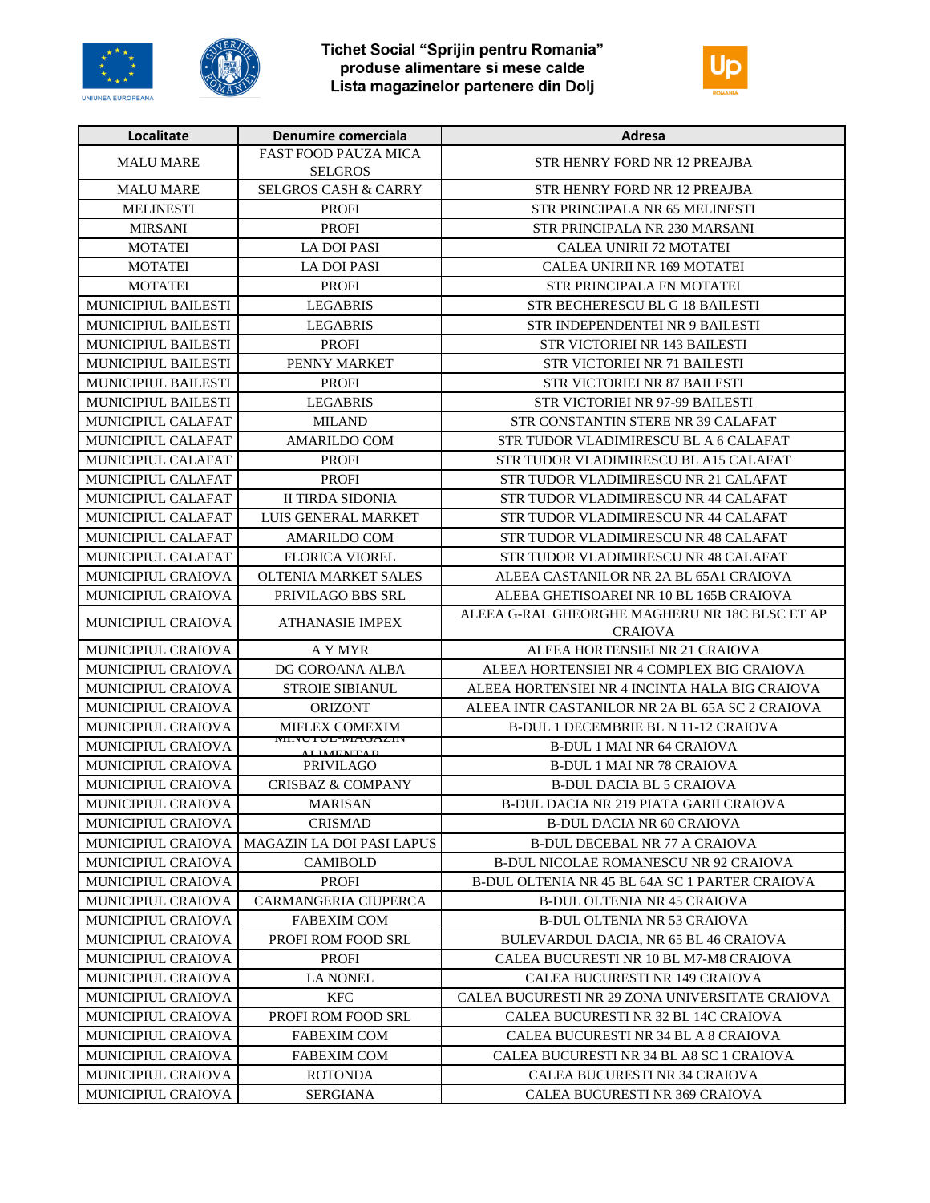





| Localitate                | Denumire comerciala                           | Adresa                                                           |
|---------------------------|-----------------------------------------------|------------------------------------------------------------------|
| <b>MALU MARE</b>          | <b>FAST FOOD PAUZA MICA</b><br><b>SELGROS</b> | <b>STR HENRY FORD NR 12 PREAJBA</b>                              |
| <b>MALU MARE</b>          | <b>SELGROS CASH &amp; CARRY</b>               | STR HENRY FORD NR 12 PREAJBA                                     |
| <b>MELINESTI</b>          | <b>PROFI</b>                                  | STR PRINCIPALA NR 65 MELINESTI                                   |
| <b>MIRSANI</b>            | <b>PROFI</b>                                  | STR PRINCIPALA NR 230 MARSANI                                    |
| <b>MOTATEI</b>            | <b>LA DOI PASI</b>                            | <b>CALEA UNIRII 72 MOTATEI</b>                                   |
| <b>MOTATEI</b>            | <b>LA DOI PASI</b>                            | CALEA UNIRII NR 169 MOTATEI                                      |
| <b>MOTATEI</b>            | <b>PROFI</b>                                  | STR PRINCIPALA FN MOTATEI                                        |
| MUNICIPIUL BAILESTI       | <b>LEGABRIS</b>                               | STR BECHERESCU BL G 18 BAILESTI                                  |
| MUNICIPIUL BAILESTI       | <b>LEGABRIS</b>                               | STR INDEPENDENTEI NR 9 BAILESTI                                  |
| MUNICIPIUL BAILESTI       | <b>PROFI</b>                                  | STR VICTORIEI NR 143 BAILESTI                                    |
| MUNICIPIUL BAILESTI       | PENNY MARKET                                  | STR VICTORIEI NR 71 BAILESTI                                     |
| MUNICIPIUL BAILESTI       | <b>PROFI</b>                                  | <b>STR VICTORIEI NR 87 BAILESTI</b>                              |
| MUNICIPIUL BAILESTI       | <b>LEGABRIS</b>                               | STR VICTORIEI NR 97-99 BAILESTI                                  |
| MUNICIPIUL CALAFAT        | <b>MILAND</b>                                 | STR CONSTANTIN STERE NR 39 CALAFAT                               |
| MUNICIPIUL CALAFAT        | <b>AMARILDO COM</b>                           | STR TUDOR VLADIMIRESCU BL A 6 CALAFAT                            |
| MUNICIPIUL CALAFAT        | <b>PROFI</b>                                  | STR TUDOR VLADIMIRESCU BL A15 CALAFAT                            |
| MUNICIPIUL CALAFAT        | <b>PROFI</b>                                  | STR TUDOR VLADIMIRESCU NR 21 CALAFAT                             |
| MUNICIPIUL CALAFAT        | <b>II TIRDA SIDONIA</b>                       | STR TUDOR VLADIMIRESCU NR 44 CALAFAT                             |
| MUNICIPIUL CALAFAT        | LUIS GENERAL MARKET                           | STR TUDOR VLADIMIRESCU NR 44 CALAFAT                             |
| <b>MUNICIPIUL CALAFAT</b> | <b>AMARILDO COM</b>                           | STR TUDOR VLADIMIRESCU NR 48 CALAFAT                             |
| MUNICIPIUL CALAFAT        | <b>FLORICA VIOREL</b>                         | STR TUDOR VLADIMIRESCU NR 48 CALAFAT                             |
| MUNICIPIUL CRAIOVA        | <b>OLTENIA MARKET SALES</b>                   | ALEEA CASTANILOR NR 2A BL 65A1 CRAIOVA                           |
| MUNICIPIUL CRAIOVA        | PRIVILAGO BBS SRL                             | ALEEA GHETISOAREI NR 10 BL 165B CRAIOVA                          |
| MUNICIPIUL CRAIOVA        | <b>ATHANASIE IMPEX</b>                        | ALEEA G-RAL GHEORGHE MAGHERU NR 18C BLSC ET AP<br><b>CRAIOVA</b> |
| MUNICIPIUL CRAIOVA        | A Y MYR                                       | ALEEA HORTENSIEI NR 21 CRAIOVA                                   |
| MUNICIPIUL CRAIOVA        | DG COROANA ALBA                               | ALEEA HORTENSIEI NR 4 COMPLEX BIG CRAIOVA                        |
| MUNICIPIUL CRAIOVA        | <b>STROIE SIBIANUL</b>                        | ALEEA HORTENSIEI NR 4 INCINTA HALA BIG CRAIOVA                   |
| MUNICIPIUL CRAIOVA        | <b>ORIZONT</b>                                | ALEEA INTR CASTANILOR NR 2A BL 65A SC 2 CRAIOVA                  |
| <b>MUNICIPIUL CRAIOVA</b> | <b>MIFLEX COMEXIM</b>                         | <b>B-DUL 1 DECEMBRIE BL N 11-12 CRAIOVA</b>                      |
| <b>MUNICIPIUL CRAIOVA</b> | <b>WHINU I UL-WIAUAZIIN</b><br>AI IMENTAD     | <b>B-DUL 1 MAI NR 64 CRAIOVA</b>                                 |
| MUNICIPIUL CRAIOVA        | <b>PRIVILAGO</b>                              | <b>B-DUL 1 MAI NR 78 CRAIOVA</b>                                 |
| MUNICIPIUL CRAIOVA        | <b>CRISBAZ &amp; COMPANY</b>                  | <b>B-DUL DACIA BL 5 CRAIOVA</b>                                  |
| MUNICIPIUL CRAIOVA        | <b>MARISAN</b>                                | B-DUL DACIA NR 219 PIATA GARII CRAIOVA                           |
| MUNICIPIUL CRAIOVA        | <b>CRISMAD</b>                                | <b>B-DUL DACIA NR 60 CRAIOVA</b>                                 |
| <b>MUNICIPIUL CRAIOVA</b> | MAGAZIN LA DOI PASI LAPUS                     | <b>B-DUL DECEBAL NR 77 A CRAIOVA</b>                             |
| <b>MUNICIPIUL CRAIOVA</b> | <b>CAMIBOLD</b>                               | B-DUL NICOLAE ROMANESCU NR 92 CRAIOVA                            |
| <b>MUNICIPIUL CRAIOVA</b> | <b>PROFI</b>                                  | B-DUL OLTENIA NR 45 BL 64A SC 1 PARTER CRAIOVA                   |
| <b>MUNICIPIUL CRAIOVA</b> | <b>CARMANGERIA CIUPERCA</b>                   | <b>B-DUL OLTENIA NR 45 CRAIOVA</b>                               |
| <b>MUNICIPIUL CRAIOVA</b> | <b>FABEXIM COM</b>                            | <b>B-DUL OLTENIA NR 53 CRAIOVA</b>                               |
| <b>MUNICIPIUL CRAIOVA</b> | PROFI ROM FOOD SRL                            | BULEVARDUL DACIA, NR 65 BL 46 CRAIOVA                            |
| MUNICIPIUL CRAIOVA        | <b>PROFI</b>                                  | CALEA BUCURESTI NR 10 BL M7-M8 CRAIOVA                           |
| <b>MUNICIPIUL CRAIOVA</b> | <b>LA NONEL</b>                               | CALEA BUCURESTI NR 149 CRAIOVA                                   |
| <b>MUNICIPIUL CRAIOVA</b> | <b>KFC</b>                                    | CALEA BUCURESTI NR 29 ZONA UNIVERSITATE CRAIOVA                  |
| <b>MUNICIPIUL CRAIOVA</b> | PROFI ROM FOOD SRL                            | CALEA BUCURESTI NR 32 BL 14C CRAIOVA                             |
| MUNICIPIUL CRAIOVA        | <b>FABEXIM COM</b>                            | CALEA BUCURESTI NR 34 BL A 8 CRAIOVA                             |
| MUNICIPIUL CRAIOVA        | <b>FABEXIM COM</b>                            | CALEA BUCURESTI NR 34 BL A8 SC 1 CRAIOVA                         |
| <b>MUNICIPIUL CRAIOVA</b> | ROTONDA                                       | CALEA BUCURESTI NR 34 CRAIOVA                                    |
| <b>MUNICIPIUL CRAIOVA</b> | SERGIANA                                      | CALEA BUCURESTI NR 369 CRAIOVA                                   |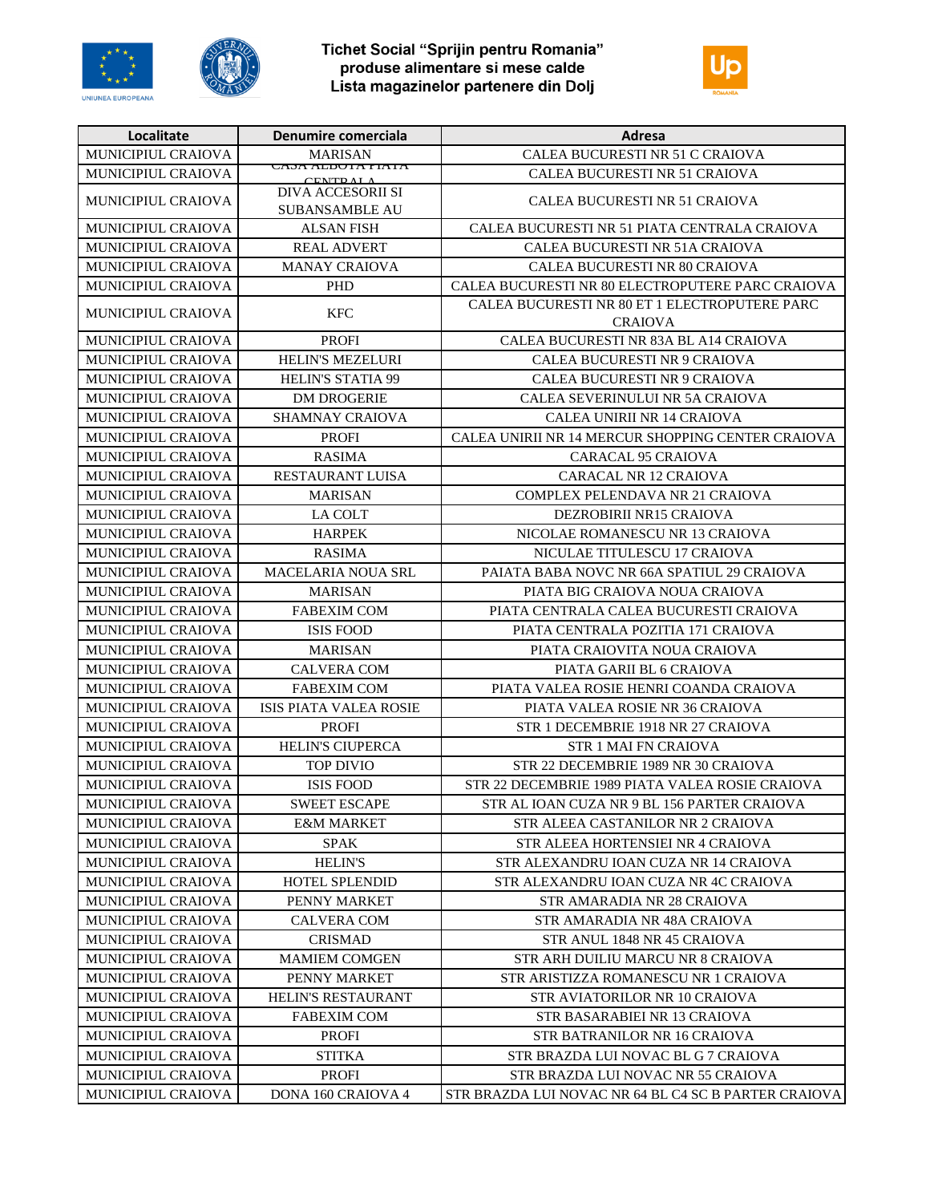





| MUNICIPIUL CRAIOVA<br>CALEA BUCURESTI NR 51 C CRAIOVA<br><b>MARISAN</b><br>CAMA ALDUIA FIAIA<br><b>MUNICIPIUL CRAIOVA</b><br>CALEA BUCURESTI NR 51 CRAIOVA<br>CENTE AL A<br>DIVA ACCESORII SI<br>MUNICIPIUL CRAIOVA<br>CALEA BUCURESTI NR 51 CRAIOVA<br><b>SUBANSAMBLE AU</b><br>MUNICIPIUL CRAIOVA<br>CALEA BUCURESTI NR 51 PIATA CENTRALA CRAIOVA<br>ALSAN FISH<br>MUNICIPIUL CRAIOVA<br><b>REAL ADVERT</b><br>CALEA BUCURESTI NR 51A CRAIOVA<br>MUNICIPIUL CRAIOVA<br>CALEA BUCURESTI NR 80 CRAIOVA<br><b>MANAY CRAIOVA</b><br>MUNICIPIUL CRAIOVA<br><b>PHD</b><br>CALEA BUCURESTI NR 80 ELECTROPUTERE PARC CRAIOVA<br>CALEA BUCURESTI NR 80 ET 1 ELECTROPUTERE PARC<br>MUNICIPIUL CRAIOVA<br><b>KFC</b><br><b>CRAIOVA</b><br>MUNICIPIUL CRAIOVA<br><b>PROFI</b><br>CALEA BUCURESTI NR 83A BL A14 CRAIOVA<br>MUNICIPIUL CRAIOVA<br><b>HELIN'S MEZELURI</b><br>CALEA BUCURESTI NR 9 CRAIOVA<br>MUNICIPIUL CRAIOVA<br><b>HELIN'S STATIA 99</b><br>CALEA BUCURESTI NR 9 CRAIOVA<br>MUNICIPIUL CRAIOVA<br><b>DM DROGERIE</b><br>CALEA SEVERINULUI NR 5A CRAIOVA<br>MUNICIPIUL CRAIOVA<br><b>SHAMNAY CRAIOVA</b><br>CALEA UNIRII NR 14 CRAIOVA<br><b>MUNICIPIUL CRAIOVA</b><br><b>PROFI</b><br>CALEA UNIRII NR 14 MERCUR SHOPPING CENTER CRAIOVA<br>MUNICIPIUL CRAIOVA<br><b>RASIMA</b><br><b>CARACAL 95 CRAIOVA</b><br>MUNICIPIUL CRAIOVA<br><b>RESTAURANT LUISA</b><br><b>CARACAL NR 12 CRAIOVA</b><br>MUNICIPIUL CRAIOVA<br><b>MARISAN</b><br>COMPLEX PELENDAVA NR 21 CRAIOVA<br>MUNICIPIUL CRAIOVA<br>LA COLT<br>DEZROBIRII NR15 CRAIOVA<br>MUNICIPIUL CRAIOVA<br><b>HARPEK</b><br>NICOLAE ROMANESCU NR 13 CRAIOVA<br>MUNICIPIUL CRAIOVA<br><b>RASIMA</b><br>NICULAE TITULESCU 17 CRAIOVA<br>PAIATA BABA NOVC NR 66A SPATIUL 29 CRAIOVA<br>MUNICIPIUL CRAIOVA<br><b>MACELARIA NOUA SRL</b><br>MUNICIPIUL CRAIOVA<br><b>MARISAN</b><br>PIATA BIG CRAIOVA NOUA CRAIOVA<br>MUNICIPIUL CRAIOVA<br><b>FABEXIM COM</b><br>PIATA CENTRALA CALEA BUCURESTI CRAIOVA<br>MUNICIPIUL CRAIOVA<br><b>ISIS FOOD</b><br>PIATA CENTRALA POZITIA 171 CRAIOVA<br>MUNICIPIUL CRAIOVA<br><b>MARISAN</b><br>PIATA CRAIOVITA NOUA CRAIOVA<br>MUNICIPIUL CRAIOVA<br>PIATA GARII BL 6 CRAIOVA<br><b>CALVERA COM</b><br>MUNICIPIUL CRAIOVA<br><b>FABEXIM COM</b><br>PIATA VALEA ROSIE HENRI COANDA CRAIOVA<br>MUNICIPIUL CRAIOVA<br>ISIS PIATA VALEA ROSIE<br>PIATA VALEA ROSIE NR 36 CRAIOVA<br>MUNICIPIUL CRAIOVA<br><b>PROFI</b><br>STR 1 DECEMBRIE 1918 NR 27 CRAIOVA<br><b>HELIN'S CIUPERCA</b><br>MUNICIPIUL CRAIOVA<br><b>STR 1 MAI FN CRAIOVA</b><br><b>MUNICIPIUL CRAIOVA</b><br><b>TOP DIVIO</b><br>STR 22 DECEMBRIE 1989 NR 30 CRAIOVA<br>MUNICIPIUL CRAIOVA<br><b>ISIS FOOD</b><br>STR 22 DECEMBRIE 1989 PIATA VALEA ROSIE CRAIOVA<br>MUNICIPIUL CRAIOVA<br><b>SWEET ESCAPE</b><br>STR AL IOAN CUZA NR 9 BL 156 PARTER CRAIOVA<br>MUNICIPIUL CRAIOVA<br><b>E&amp;M MARKET</b><br>STR ALEEA CASTANILOR NR 2 CRAIOVA<br>MUNICIPIUL CRAIOVA<br><b>SPAK</b><br>STR ALEEA HORTENSIEI NR 4 CRAIOVA<br><b>HELIN'S</b><br>MUNICIPIUL CRAIOVA<br>STR ALEXANDRU IOAN CUZA NR 14 CRAIOVA<br>MUNICIPIUL CRAIOVA<br>HOTEL SPLENDID<br>STR ALEXANDRU IOAN CUZA NR 4C CRAIOVA<br>MUNICIPIUL CRAIOVA<br>PENNY MARKET<br><b>STR AMARADIA NR 28 CRAIOVA</b><br>MUNICIPIUL CRAIOVA<br><b>CALVERA COM</b><br>STR AMARADIA NR 48A CRAIOVA<br>MUNICIPIUL CRAIOVA<br><b>CRISMAD</b><br>STR ANUL 1848 NR 45 CRAIOVA<br>MUNICIPIUL CRAIOVA<br><b>MAMIEM COMGEN</b><br>STR ARH DUILIU MARCU NR 8 CRAIOVA<br><b>MUNICIPIUL CRAIOVA</b><br>PENNY MARKET<br>STR ARISTIZZA ROMANESCU NR 1 CRAIOVA<br>MUNICIPIUL CRAIOVA<br>HELIN'S RESTAURANT<br>STR AVIATORILOR NR 10 CRAIOVA | Localitate | Denumire comerciala | Adresa |
|--------------------------------------------------------------------------------------------------------------------------------------------------------------------------------------------------------------------------------------------------------------------------------------------------------------------------------------------------------------------------------------------------------------------------------------------------------------------------------------------------------------------------------------------------------------------------------------------------------------------------------------------------------------------------------------------------------------------------------------------------------------------------------------------------------------------------------------------------------------------------------------------------------------------------------------------------------------------------------------------------------------------------------------------------------------------------------------------------------------------------------------------------------------------------------------------------------------------------------------------------------------------------------------------------------------------------------------------------------------------------------------------------------------------------------------------------------------------------------------------------------------------------------------------------------------------------------------------------------------------------------------------------------------------------------------------------------------------------------------------------------------------------------------------------------------------------------------------------------------------------------------------------------------------------------------------------------------------------------------------------------------------------------------------------------------------------------------------------------------------------------------------------------------------------------------------------------------------------------------------------------------------------------------------------------------------------------------------------------------------------------------------------------------------------------------------------------------------------------------------------------------------------------------------------------------------------------------------------------------------------------------------------------------------------------------------------------------------------------------------------------------------------------------------------------------------------------------------------------------------------------------------------------------------------------------------------------------------------------------------------------------------------------------------------------------------------------------------------------------------------------------------------------------------------------------------------------------------------------------------------------------------------------------------------------------------------------------------------------------------------------------------------------------------------------------------------------------------------------------------------------------------------------------------------------------------------------------------------------------------------------------|------------|---------------------|--------|
|                                                                                                                                                                                                                                                                                                                                                                                                                                                                                                                                                                                                                                                                                                                                                                                                                                                                                                                                                                                                                                                                                                                                                                                                                                                                                                                                                                                                                                                                                                                                                                                                                                                                                                                                                                                                                                                                                                                                                                                                                                                                                                                                                                                                                                                                                                                                                                                                                                                                                                                                                                                                                                                                                                                                                                                                                                                                                                                                                                                                                                                                                                                                                                                                                                                                                                                                                                                                                                                                                                                                                                                                                                      |            |                     |        |
|                                                                                                                                                                                                                                                                                                                                                                                                                                                                                                                                                                                                                                                                                                                                                                                                                                                                                                                                                                                                                                                                                                                                                                                                                                                                                                                                                                                                                                                                                                                                                                                                                                                                                                                                                                                                                                                                                                                                                                                                                                                                                                                                                                                                                                                                                                                                                                                                                                                                                                                                                                                                                                                                                                                                                                                                                                                                                                                                                                                                                                                                                                                                                                                                                                                                                                                                                                                                                                                                                                                                                                                                                                      |            |                     |        |
|                                                                                                                                                                                                                                                                                                                                                                                                                                                                                                                                                                                                                                                                                                                                                                                                                                                                                                                                                                                                                                                                                                                                                                                                                                                                                                                                                                                                                                                                                                                                                                                                                                                                                                                                                                                                                                                                                                                                                                                                                                                                                                                                                                                                                                                                                                                                                                                                                                                                                                                                                                                                                                                                                                                                                                                                                                                                                                                                                                                                                                                                                                                                                                                                                                                                                                                                                                                                                                                                                                                                                                                                                                      |            |                     |        |
|                                                                                                                                                                                                                                                                                                                                                                                                                                                                                                                                                                                                                                                                                                                                                                                                                                                                                                                                                                                                                                                                                                                                                                                                                                                                                                                                                                                                                                                                                                                                                                                                                                                                                                                                                                                                                                                                                                                                                                                                                                                                                                                                                                                                                                                                                                                                                                                                                                                                                                                                                                                                                                                                                                                                                                                                                                                                                                                                                                                                                                                                                                                                                                                                                                                                                                                                                                                                                                                                                                                                                                                                                                      |            |                     |        |
|                                                                                                                                                                                                                                                                                                                                                                                                                                                                                                                                                                                                                                                                                                                                                                                                                                                                                                                                                                                                                                                                                                                                                                                                                                                                                                                                                                                                                                                                                                                                                                                                                                                                                                                                                                                                                                                                                                                                                                                                                                                                                                                                                                                                                                                                                                                                                                                                                                                                                                                                                                                                                                                                                                                                                                                                                                                                                                                                                                                                                                                                                                                                                                                                                                                                                                                                                                                                                                                                                                                                                                                                                                      |            |                     |        |
|                                                                                                                                                                                                                                                                                                                                                                                                                                                                                                                                                                                                                                                                                                                                                                                                                                                                                                                                                                                                                                                                                                                                                                                                                                                                                                                                                                                                                                                                                                                                                                                                                                                                                                                                                                                                                                                                                                                                                                                                                                                                                                                                                                                                                                                                                                                                                                                                                                                                                                                                                                                                                                                                                                                                                                                                                                                                                                                                                                                                                                                                                                                                                                                                                                                                                                                                                                                                                                                                                                                                                                                                                                      |            |                     |        |
|                                                                                                                                                                                                                                                                                                                                                                                                                                                                                                                                                                                                                                                                                                                                                                                                                                                                                                                                                                                                                                                                                                                                                                                                                                                                                                                                                                                                                                                                                                                                                                                                                                                                                                                                                                                                                                                                                                                                                                                                                                                                                                                                                                                                                                                                                                                                                                                                                                                                                                                                                                                                                                                                                                                                                                                                                                                                                                                                                                                                                                                                                                                                                                                                                                                                                                                                                                                                                                                                                                                                                                                                                                      |            |                     |        |
|                                                                                                                                                                                                                                                                                                                                                                                                                                                                                                                                                                                                                                                                                                                                                                                                                                                                                                                                                                                                                                                                                                                                                                                                                                                                                                                                                                                                                                                                                                                                                                                                                                                                                                                                                                                                                                                                                                                                                                                                                                                                                                                                                                                                                                                                                                                                                                                                                                                                                                                                                                                                                                                                                                                                                                                                                                                                                                                                                                                                                                                                                                                                                                                                                                                                                                                                                                                                                                                                                                                                                                                                                                      |            |                     |        |
|                                                                                                                                                                                                                                                                                                                                                                                                                                                                                                                                                                                                                                                                                                                                                                                                                                                                                                                                                                                                                                                                                                                                                                                                                                                                                                                                                                                                                                                                                                                                                                                                                                                                                                                                                                                                                                                                                                                                                                                                                                                                                                                                                                                                                                                                                                                                                                                                                                                                                                                                                                                                                                                                                                                                                                                                                                                                                                                                                                                                                                                                                                                                                                                                                                                                                                                                                                                                                                                                                                                                                                                                                                      |            |                     |        |
|                                                                                                                                                                                                                                                                                                                                                                                                                                                                                                                                                                                                                                                                                                                                                                                                                                                                                                                                                                                                                                                                                                                                                                                                                                                                                                                                                                                                                                                                                                                                                                                                                                                                                                                                                                                                                                                                                                                                                                                                                                                                                                                                                                                                                                                                                                                                                                                                                                                                                                                                                                                                                                                                                                                                                                                                                                                                                                                                                                                                                                                                                                                                                                                                                                                                                                                                                                                                                                                                                                                                                                                                                                      |            |                     |        |
|                                                                                                                                                                                                                                                                                                                                                                                                                                                                                                                                                                                                                                                                                                                                                                                                                                                                                                                                                                                                                                                                                                                                                                                                                                                                                                                                                                                                                                                                                                                                                                                                                                                                                                                                                                                                                                                                                                                                                                                                                                                                                                                                                                                                                                                                                                                                                                                                                                                                                                                                                                                                                                                                                                                                                                                                                                                                                                                                                                                                                                                                                                                                                                                                                                                                                                                                                                                                                                                                                                                                                                                                                                      |            |                     |        |
|                                                                                                                                                                                                                                                                                                                                                                                                                                                                                                                                                                                                                                                                                                                                                                                                                                                                                                                                                                                                                                                                                                                                                                                                                                                                                                                                                                                                                                                                                                                                                                                                                                                                                                                                                                                                                                                                                                                                                                                                                                                                                                                                                                                                                                                                                                                                                                                                                                                                                                                                                                                                                                                                                                                                                                                                                                                                                                                                                                                                                                                                                                                                                                                                                                                                                                                                                                                                                                                                                                                                                                                                                                      |            |                     |        |
|                                                                                                                                                                                                                                                                                                                                                                                                                                                                                                                                                                                                                                                                                                                                                                                                                                                                                                                                                                                                                                                                                                                                                                                                                                                                                                                                                                                                                                                                                                                                                                                                                                                                                                                                                                                                                                                                                                                                                                                                                                                                                                                                                                                                                                                                                                                                                                                                                                                                                                                                                                                                                                                                                                                                                                                                                                                                                                                                                                                                                                                                                                                                                                                                                                                                                                                                                                                                                                                                                                                                                                                                                                      |            |                     |        |
|                                                                                                                                                                                                                                                                                                                                                                                                                                                                                                                                                                                                                                                                                                                                                                                                                                                                                                                                                                                                                                                                                                                                                                                                                                                                                                                                                                                                                                                                                                                                                                                                                                                                                                                                                                                                                                                                                                                                                                                                                                                                                                                                                                                                                                                                                                                                                                                                                                                                                                                                                                                                                                                                                                                                                                                                                                                                                                                                                                                                                                                                                                                                                                                                                                                                                                                                                                                                                                                                                                                                                                                                                                      |            |                     |        |
|                                                                                                                                                                                                                                                                                                                                                                                                                                                                                                                                                                                                                                                                                                                                                                                                                                                                                                                                                                                                                                                                                                                                                                                                                                                                                                                                                                                                                                                                                                                                                                                                                                                                                                                                                                                                                                                                                                                                                                                                                                                                                                                                                                                                                                                                                                                                                                                                                                                                                                                                                                                                                                                                                                                                                                                                                                                                                                                                                                                                                                                                                                                                                                                                                                                                                                                                                                                                                                                                                                                                                                                                                                      |            |                     |        |
|                                                                                                                                                                                                                                                                                                                                                                                                                                                                                                                                                                                                                                                                                                                                                                                                                                                                                                                                                                                                                                                                                                                                                                                                                                                                                                                                                                                                                                                                                                                                                                                                                                                                                                                                                                                                                                                                                                                                                                                                                                                                                                                                                                                                                                                                                                                                                                                                                                                                                                                                                                                                                                                                                                                                                                                                                                                                                                                                                                                                                                                                                                                                                                                                                                                                                                                                                                                                                                                                                                                                                                                                                                      |            |                     |        |
|                                                                                                                                                                                                                                                                                                                                                                                                                                                                                                                                                                                                                                                                                                                                                                                                                                                                                                                                                                                                                                                                                                                                                                                                                                                                                                                                                                                                                                                                                                                                                                                                                                                                                                                                                                                                                                                                                                                                                                                                                                                                                                                                                                                                                                                                                                                                                                                                                                                                                                                                                                                                                                                                                                                                                                                                                                                                                                                                                                                                                                                                                                                                                                                                                                                                                                                                                                                                                                                                                                                                                                                                                                      |            |                     |        |
|                                                                                                                                                                                                                                                                                                                                                                                                                                                                                                                                                                                                                                                                                                                                                                                                                                                                                                                                                                                                                                                                                                                                                                                                                                                                                                                                                                                                                                                                                                                                                                                                                                                                                                                                                                                                                                                                                                                                                                                                                                                                                                                                                                                                                                                                                                                                                                                                                                                                                                                                                                                                                                                                                                                                                                                                                                                                                                                                                                                                                                                                                                                                                                                                                                                                                                                                                                                                                                                                                                                                                                                                                                      |            |                     |        |
|                                                                                                                                                                                                                                                                                                                                                                                                                                                                                                                                                                                                                                                                                                                                                                                                                                                                                                                                                                                                                                                                                                                                                                                                                                                                                                                                                                                                                                                                                                                                                                                                                                                                                                                                                                                                                                                                                                                                                                                                                                                                                                                                                                                                                                                                                                                                                                                                                                                                                                                                                                                                                                                                                                                                                                                                                                                                                                                                                                                                                                                                                                                                                                                                                                                                                                                                                                                                                                                                                                                                                                                                                                      |            |                     |        |
|                                                                                                                                                                                                                                                                                                                                                                                                                                                                                                                                                                                                                                                                                                                                                                                                                                                                                                                                                                                                                                                                                                                                                                                                                                                                                                                                                                                                                                                                                                                                                                                                                                                                                                                                                                                                                                                                                                                                                                                                                                                                                                                                                                                                                                                                                                                                                                                                                                                                                                                                                                                                                                                                                                                                                                                                                                                                                                                                                                                                                                                                                                                                                                                                                                                                                                                                                                                                                                                                                                                                                                                                                                      |            |                     |        |
|                                                                                                                                                                                                                                                                                                                                                                                                                                                                                                                                                                                                                                                                                                                                                                                                                                                                                                                                                                                                                                                                                                                                                                                                                                                                                                                                                                                                                                                                                                                                                                                                                                                                                                                                                                                                                                                                                                                                                                                                                                                                                                                                                                                                                                                                                                                                                                                                                                                                                                                                                                                                                                                                                                                                                                                                                                                                                                                                                                                                                                                                                                                                                                                                                                                                                                                                                                                                                                                                                                                                                                                                                                      |            |                     |        |
|                                                                                                                                                                                                                                                                                                                                                                                                                                                                                                                                                                                                                                                                                                                                                                                                                                                                                                                                                                                                                                                                                                                                                                                                                                                                                                                                                                                                                                                                                                                                                                                                                                                                                                                                                                                                                                                                                                                                                                                                                                                                                                                                                                                                                                                                                                                                                                                                                                                                                                                                                                                                                                                                                                                                                                                                                                                                                                                                                                                                                                                                                                                                                                                                                                                                                                                                                                                                                                                                                                                                                                                                                                      |            |                     |        |
|                                                                                                                                                                                                                                                                                                                                                                                                                                                                                                                                                                                                                                                                                                                                                                                                                                                                                                                                                                                                                                                                                                                                                                                                                                                                                                                                                                                                                                                                                                                                                                                                                                                                                                                                                                                                                                                                                                                                                                                                                                                                                                                                                                                                                                                                                                                                                                                                                                                                                                                                                                                                                                                                                                                                                                                                                                                                                                                                                                                                                                                                                                                                                                                                                                                                                                                                                                                                                                                                                                                                                                                                                                      |            |                     |        |
|                                                                                                                                                                                                                                                                                                                                                                                                                                                                                                                                                                                                                                                                                                                                                                                                                                                                                                                                                                                                                                                                                                                                                                                                                                                                                                                                                                                                                                                                                                                                                                                                                                                                                                                                                                                                                                                                                                                                                                                                                                                                                                                                                                                                                                                                                                                                                                                                                                                                                                                                                                                                                                                                                                                                                                                                                                                                                                                                                                                                                                                                                                                                                                                                                                                                                                                                                                                                                                                                                                                                                                                                                                      |            |                     |        |
|                                                                                                                                                                                                                                                                                                                                                                                                                                                                                                                                                                                                                                                                                                                                                                                                                                                                                                                                                                                                                                                                                                                                                                                                                                                                                                                                                                                                                                                                                                                                                                                                                                                                                                                                                                                                                                                                                                                                                                                                                                                                                                                                                                                                                                                                                                                                                                                                                                                                                                                                                                                                                                                                                                                                                                                                                                                                                                                                                                                                                                                                                                                                                                                                                                                                                                                                                                                                                                                                                                                                                                                                                                      |            |                     |        |
|                                                                                                                                                                                                                                                                                                                                                                                                                                                                                                                                                                                                                                                                                                                                                                                                                                                                                                                                                                                                                                                                                                                                                                                                                                                                                                                                                                                                                                                                                                                                                                                                                                                                                                                                                                                                                                                                                                                                                                                                                                                                                                                                                                                                                                                                                                                                                                                                                                                                                                                                                                                                                                                                                                                                                                                                                                                                                                                                                                                                                                                                                                                                                                                                                                                                                                                                                                                                                                                                                                                                                                                                                                      |            |                     |        |
|                                                                                                                                                                                                                                                                                                                                                                                                                                                                                                                                                                                                                                                                                                                                                                                                                                                                                                                                                                                                                                                                                                                                                                                                                                                                                                                                                                                                                                                                                                                                                                                                                                                                                                                                                                                                                                                                                                                                                                                                                                                                                                                                                                                                                                                                                                                                                                                                                                                                                                                                                                                                                                                                                                                                                                                                                                                                                                                                                                                                                                                                                                                                                                                                                                                                                                                                                                                                                                                                                                                                                                                                                                      |            |                     |        |
|                                                                                                                                                                                                                                                                                                                                                                                                                                                                                                                                                                                                                                                                                                                                                                                                                                                                                                                                                                                                                                                                                                                                                                                                                                                                                                                                                                                                                                                                                                                                                                                                                                                                                                                                                                                                                                                                                                                                                                                                                                                                                                                                                                                                                                                                                                                                                                                                                                                                                                                                                                                                                                                                                                                                                                                                                                                                                                                                                                                                                                                                                                                                                                                                                                                                                                                                                                                                                                                                                                                                                                                                                                      |            |                     |        |
|                                                                                                                                                                                                                                                                                                                                                                                                                                                                                                                                                                                                                                                                                                                                                                                                                                                                                                                                                                                                                                                                                                                                                                                                                                                                                                                                                                                                                                                                                                                                                                                                                                                                                                                                                                                                                                                                                                                                                                                                                                                                                                                                                                                                                                                                                                                                                                                                                                                                                                                                                                                                                                                                                                                                                                                                                                                                                                                                                                                                                                                                                                                                                                                                                                                                                                                                                                                                                                                                                                                                                                                                                                      |            |                     |        |
|                                                                                                                                                                                                                                                                                                                                                                                                                                                                                                                                                                                                                                                                                                                                                                                                                                                                                                                                                                                                                                                                                                                                                                                                                                                                                                                                                                                                                                                                                                                                                                                                                                                                                                                                                                                                                                                                                                                                                                                                                                                                                                                                                                                                                                                                                                                                                                                                                                                                                                                                                                                                                                                                                                                                                                                                                                                                                                                                                                                                                                                                                                                                                                                                                                                                                                                                                                                                                                                                                                                                                                                                                                      |            |                     |        |
|                                                                                                                                                                                                                                                                                                                                                                                                                                                                                                                                                                                                                                                                                                                                                                                                                                                                                                                                                                                                                                                                                                                                                                                                                                                                                                                                                                                                                                                                                                                                                                                                                                                                                                                                                                                                                                                                                                                                                                                                                                                                                                                                                                                                                                                                                                                                                                                                                                                                                                                                                                                                                                                                                                                                                                                                                                                                                                                                                                                                                                                                                                                                                                                                                                                                                                                                                                                                                                                                                                                                                                                                                                      |            |                     |        |
|                                                                                                                                                                                                                                                                                                                                                                                                                                                                                                                                                                                                                                                                                                                                                                                                                                                                                                                                                                                                                                                                                                                                                                                                                                                                                                                                                                                                                                                                                                                                                                                                                                                                                                                                                                                                                                                                                                                                                                                                                                                                                                                                                                                                                                                                                                                                                                                                                                                                                                                                                                                                                                                                                                                                                                                                                                                                                                                                                                                                                                                                                                                                                                                                                                                                                                                                                                                                                                                                                                                                                                                                                                      |            |                     |        |
|                                                                                                                                                                                                                                                                                                                                                                                                                                                                                                                                                                                                                                                                                                                                                                                                                                                                                                                                                                                                                                                                                                                                                                                                                                                                                                                                                                                                                                                                                                                                                                                                                                                                                                                                                                                                                                                                                                                                                                                                                                                                                                                                                                                                                                                                                                                                                                                                                                                                                                                                                                                                                                                                                                                                                                                                                                                                                                                                                                                                                                                                                                                                                                                                                                                                                                                                                                                                                                                                                                                                                                                                                                      |            |                     |        |
|                                                                                                                                                                                                                                                                                                                                                                                                                                                                                                                                                                                                                                                                                                                                                                                                                                                                                                                                                                                                                                                                                                                                                                                                                                                                                                                                                                                                                                                                                                                                                                                                                                                                                                                                                                                                                                                                                                                                                                                                                                                                                                                                                                                                                                                                                                                                                                                                                                                                                                                                                                                                                                                                                                                                                                                                                                                                                                                                                                                                                                                                                                                                                                                                                                                                                                                                                                                                                                                                                                                                                                                                                                      |            |                     |        |
|                                                                                                                                                                                                                                                                                                                                                                                                                                                                                                                                                                                                                                                                                                                                                                                                                                                                                                                                                                                                                                                                                                                                                                                                                                                                                                                                                                                                                                                                                                                                                                                                                                                                                                                                                                                                                                                                                                                                                                                                                                                                                                                                                                                                                                                                                                                                                                                                                                                                                                                                                                                                                                                                                                                                                                                                                                                                                                                                                                                                                                                                                                                                                                                                                                                                                                                                                                                                                                                                                                                                                                                                                                      |            |                     |        |
|                                                                                                                                                                                                                                                                                                                                                                                                                                                                                                                                                                                                                                                                                                                                                                                                                                                                                                                                                                                                                                                                                                                                                                                                                                                                                                                                                                                                                                                                                                                                                                                                                                                                                                                                                                                                                                                                                                                                                                                                                                                                                                                                                                                                                                                                                                                                                                                                                                                                                                                                                                                                                                                                                                                                                                                                                                                                                                                                                                                                                                                                                                                                                                                                                                                                                                                                                                                                                                                                                                                                                                                                                                      |            |                     |        |
|                                                                                                                                                                                                                                                                                                                                                                                                                                                                                                                                                                                                                                                                                                                                                                                                                                                                                                                                                                                                                                                                                                                                                                                                                                                                                                                                                                                                                                                                                                                                                                                                                                                                                                                                                                                                                                                                                                                                                                                                                                                                                                                                                                                                                                                                                                                                                                                                                                                                                                                                                                                                                                                                                                                                                                                                                                                                                                                                                                                                                                                                                                                                                                                                                                                                                                                                                                                                                                                                                                                                                                                                                                      |            |                     |        |
|                                                                                                                                                                                                                                                                                                                                                                                                                                                                                                                                                                                                                                                                                                                                                                                                                                                                                                                                                                                                                                                                                                                                                                                                                                                                                                                                                                                                                                                                                                                                                                                                                                                                                                                                                                                                                                                                                                                                                                                                                                                                                                                                                                                                                                                                                                                                                                                                                                                                                                                                                                                                                                                                                                                                                                                                                                                                                                                                                                                                                                                                                                                                                                                                                                                                                                                                                                                                                                                                                                                                                                                                                                      |            |                     |        |
|                                                                                                                                                                                                                                                                                                                                                                                                                                                                                                                                                                                                                                                                                                                                                                                                                                                                                                                                                                                                                                                                                                                                                                                                                                                                                                                                                                                                                                                                                                                                                                                                                                                                                                                                                                                                                                                                                                                                                                                                                                                                                                                                                                                                                                                                                                                                                                                                                                                                                                                                                                                                                                                                                                                                                                                                                                                                                                                                                                                                                                                                                                                                                                                                                                                                                                                                                                                                                                                                                                                                                                                                                                      |            |                     |        |
|                                                                                                                                                                                                                                                                                                                                                                                                                                                                                                                                                                                                                                                                                                                                                                                                                                                                                                                                                                                                                                                                                                                                                                                                                                                                                                                                                                                                                                                                                                                                                                                                                                                                                                                                                                                                                                                                                                                                                                                                                                                                                                                                                                                                                                                                                                                                                                                                                                                                                                                                                                                                                                                                                                                                                                                                                                                                                                                                                                                                                                                                                                                                                                                                                                                                                                                                                                                                                                                                                                                                                                                                                                      |            |                     |        |
|                                                                                                                                                                                                                                                                                                                                                                                                                                                                                                                                                                                                                                                                                                                                                                                                                                                                                                                                                                                                                                                                                                                                                                                                                                                                                                                                                                                                                                                                                                                                                                                                                                                                                                                                                                                                                                                                                                                                                                                                                                                                                                                                                                                                                                                                                                                                                                                                                                                                                                                                                                                                                                                                                                                                                                                                                                                                                                                                                                                                                                                                                                                                                                                                                                                                                                                                                                                                                                                                                                                                                                                                                                      |            |                     |        |
|                                                                                                                                                                                                                                                                                                                                                                                                                                                                                                                                                                                                                                                                                                                                                                                                                                                                                                                                                                                                                                                                                                                                                                                                                                                                                                                                                                                                                                                                                                                                                                                                                                                                                                                                                                                                                                                                                                                                                                                                                                                                                                                                                                                                                                                                                                                                                                                                                                                                                                                                                                                                                                                                                                                                                                                                                                                                                                                                                                                                                                                                                                                                                                                                                                                                                                                                                                                                                                                                                                                                                                                                                                      |            |                     |        |
|                                                                                                                                                                                                                                                                                                                                                                                                                                                                                                                                                                                                                                                                                                                                                                                                                                                                                                                                                                                                                                                                                                                                                                                                                                                                                                                                                                                                                                                                                                                                                                                                                                                                                                                                                                                                                                                                                                                                                                                                                                                                                                                                                                                                                                                                                                                                                                                                                                                                                                                                                                                                                                                                                                                                                                                                                                                                                                                                                                                                                                                                                                                                                                                                                                                                                                                                                                                                                                                                                                                                                                                                                                      |            |                     |        |
| MUNICIPIUL CRAIOVA<br><b>FABEXIM COM</b><br>STR BASARABIEI NR 13 CRAIOVA                                                                                                                                                                                                                                                                                                                                                                                                                                                                                                                                                                                                                                                                                                                                                                                                                                                                                                                                                                                                                                                                                                                                                                                                                                                                                                                                                                                                                                                                                                                                                                                                                                                                                                                                                                                                                                                                                                                                                                                                                                                                                                                                                                                                                                                                                                                                                                                                                                                                                                                                                                                                                                                                                                                                                                                                                                                                                                                                                                                                                                                                                                                                                                                                                                                                                                                                                                                                                                                                                                                                                             |            |                     |        |
| MUNICIPIUL CRAIOVA<br>PROFI<br>STR BATRANILOR NR 16 CRAIOVA                                                                                                                                                                                                                                                                                                                                                                                                                                                                                                                                                                                                                                                                                                                                                                                                                                                                                                                                                                                                                                                                                                                                                                                                                                                                                                                                                                                                                                                                                                                                                                                                                                                                                                                                                                                                                                                                                                                                                                                                                                                                                                                                                                                                                                                                                                                                                                                                                                                                                                                                                                                                                                                                                                                                                                                                                                                                                                                                                                                                                                                                                                                                                                                                                                                                                                                                                                                                                                                                                                                                                                          |            |                     |        |
| <b>STITKA</b><br><b>MUNICIPIUL CRAIOVA</b><br>STR BRAZDA LUI NOVAC BL G 7 CRAIOVA                                                                                                                                                                                                                                                                                                                                                                                                                                                                                                                                                                                                                                                                                                                                                                                                                                                                                                                                                                                                                                                                                                                                                                                                                                                                                                                                                                                                                                                                                                                                                                                                                                                                                                                                                                                                                                                                                                                                                                                                                                                                                                                                                                                                                                                                                                                                                                                                                                                                                                                                                                                                                                                                                                                                                                                                                                                                                                                                                                                                                                                                                                                                                                                                                                                                                                                                                                                                                                                                                                                                                    |            |                     |        |
| MUNICIPIUL CRAIOVA<br><b>PROFI</b><br>STR BRAZDA LUI NOVAC NR 55 CRAIOVA                                                                                                                                                                                                                                                                                                                                                                                                                                                                                                                                                                                                                                                                                                                                                                                                                                                                                                                                                                                                                                                                                                                                                                                                                                                                                                                                                                                                                                                                                                                                                                                                                                                                                                                                                                                                                                                                                                                                                                                                                                                                                                                                                                                                                                                                                                                                                                                                                                                                                                                                                                                                                                                                                                                                                                                                                                                                                                                                                                                                                                                                                                                                                                                                                                                                                                                                                                                                                                                                                                                                                             |            |                     |        |
| MUNICIPIUL CRAIOVA<br><b>DONA 160 CRAIOVA 4</b><br>STR BRAZDA LUI NOVAC NR 64 BL C4 SC B PARTER CRAIOVA                                                                                                                                                                                                                                                                                                                                                                                                                                                                                                                                                                                                                                                                                                                                                                                                                                                                                                                                                                                                                                                                                                                                                                                                                                                                                                                                                                                                                                                                                                                                                                                                                                                                                                                                                                                                                                                                                                                                                                                                                                                                                                                                                                                                                                                                                                                                                                                                                                                                                                                                                                                                                                                                                                                                                                                                                                                                                                                                                                                                                                                                                                                                                                                                                                                                                                                                                                                                                                                                                                                              |            |                     |        |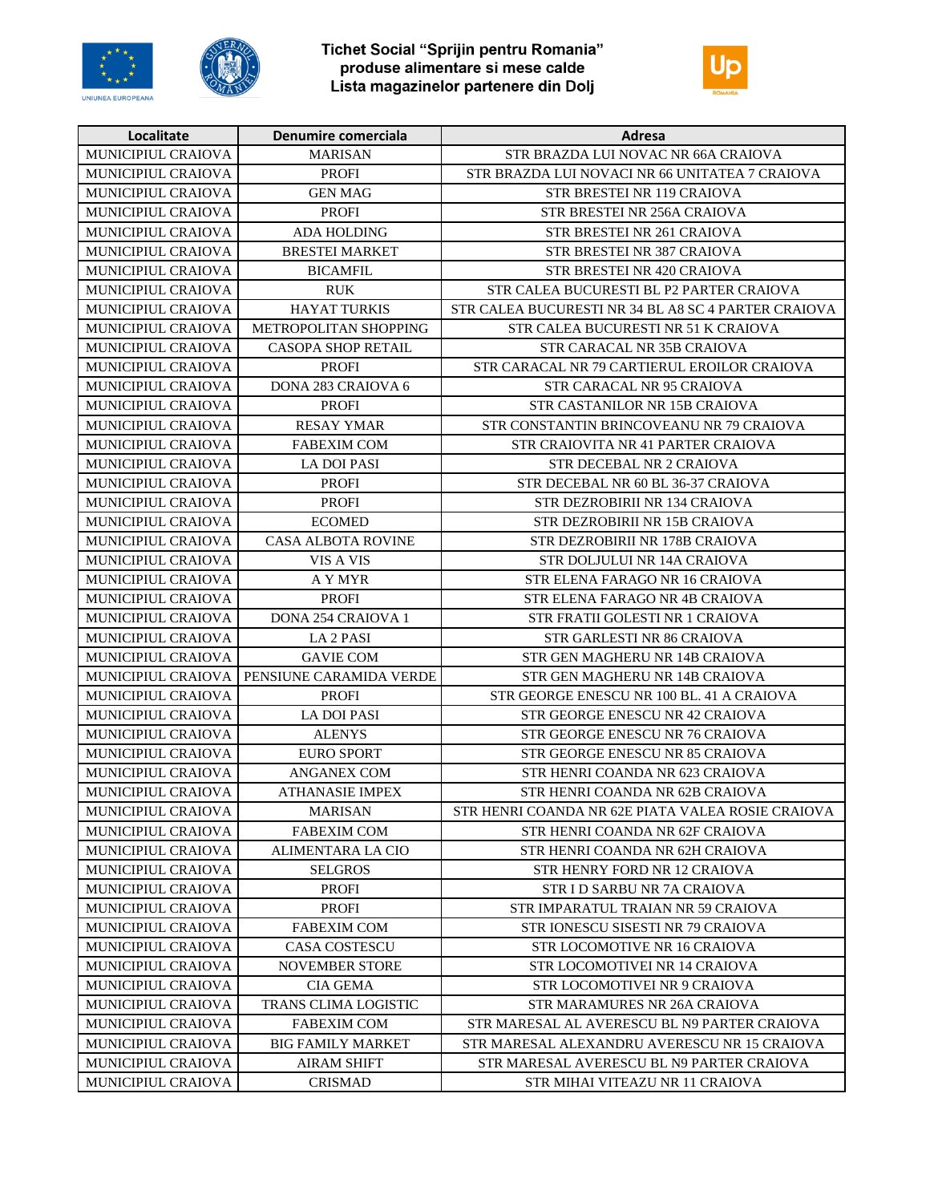





| Localitate                | Denumire comerciala         | Adresa                                              |
|---------------------------|-----------------------------|-----------------------------------------------------|
| MUNICIPIUL CRAIOVA        | <b>MARISAN</b>              | STR BRAZDA LUI NOVAC NR 66A CRAIOVA                 |
| MUNICIPIUL CRAIOVA        | <b>PROFI</b>                | STR BRAZDA LUI NOVACI NR 66 UNITATEA 7 CRAIOVA      |
| <b>MUNICIPIUL CRAIOVA</b> | <b>GEN MAG</b>              | <b>STR BRESTEI NR 119 CRAIOVA</b>                   |
| MUNICIPIUL CRAIOVA        | <b>PROFI</b>                | STR BRESTEI NR 256A CRAIOVA                         |
| MUNICIPIUL CRAIOVA        | <b>ADA HOLDING</b>          | STR BRESTEI NR 261 CRAIOVA                          |
| MUNICIPIUL CRAIOVA        | <b>BRESTEI MARKET</b>       | STR BRESTEI NR 387 CRAIOVA                          |
| MUNICIPIUL CRAIOVA        | <b>BICAMFIL</b>             | STR BRESTEI NR 420 CRAIOVA                          |
| <b>MUNICIPIUL CRAIOVA</b> | <b>RUK</b>                  | STR CALEA BUCURESTI BL P2 PARTER CRAIOVA            |
| <b>MUNICIPIUL CRAIOVA</b> | <b>HAYAT TURKIS</b>         | STR CALEA BUCURESTI NR 34 BL A8 SC 4 PARTER CRAIOVA |
| MUNICIPIUL CRAIOVA        | METROPOLITAN SHOPPING       | STR CALEA BUCURESTI NR 51 K CRAIOVA                 |
| <b>MUNICIPIUL CRAIOVA</b> | <b>CASOPA SHOP RETAIL</b>   | STR CARACAL NR 35B CRAIOVA                          |
| MUNICIPIUL CRAIOVA        | <b>PROFI</b>                | STR CARACAL NR 79 CARTIERUL EROILOR CRAIOVA         |
| MUNICIPIUL CRAIOVA        | DONA 283 CRAIOVA 6          | STR CARACAL NR 95 CRAIOVA                           |
| MUNICIPIUL CRAIOVA        | <b>PROFI</b>                | STR CASTANILOR NR 15B CRAIOVA                       |
| MUNICIPIUL CRAIOVA        | <b>RESAY YMAR</b>           | STR CONSTANTIN BRINCOVEANU NR 79 CRAIOVA            |
| <b>MUNICIPIUL CRAIOVA</b> | <b>FABEXIM COM</b>          | STR CRAIOVITA NR 41 PARTER CRAIOVA                  |
| MUNICIPIUL CRAIOVA        | <b>LA DOI PASI</b>          | STR DECEBAL NR 2 CRAIOVA                            |
| MUNICIPIUL CRAIOVA        | <b>PROFI</b>                | STR DECEBAL NR 60 BL 36-37 CRAIOVA                  |
| MUNICIPIUL CRAIOVA        | <b>PROFI</b>                | STR DEZROBIRII NR 134 CRAIOVA                       |
| MUNICIPIUL CRAIOVA        | <b>ECOMED</b>               | STR DEZROBIRII NR 15B CRAIOVA                       |
| MUNICIPIUL CRAIOVA        | <b>CASA ALBOTA ROVINE</b>   | STR DEZROBIRII NR 178B CRAIOVA                      |
| MUNICIPIUL CRAIOVA        | VIS A VIS                   | STR DOLJULUI NR 14A CRAIOVA                         |
| MUNICIPIUL CRAIOVA        | A Y MYR                     | STR ELENA FARAGO NR 16 CRAIOVA                      |
| MUNICIPIUL CRAIOVA        | PROFI                       | STR ELENA FARAGO NR 4B CRAIOVA                      |
| MUNICIPIUL CRAIOVA        | <b>DONA 254 CRAIOVA 1</b>   | STR FRATII GOLESTI NR 1 CRAIOVA                     |
| MUNICIPIUL CRAIOVA        | LA <sub>2</sub> PASI        | STR GARLESTI NR 86 CRAIOVA                          |
| MUNICIPIUL CRAIOVA        | <b>GAVIE COM</b>            | STR GEN MAGHERU NR 14B CRAIOVA                      |
| MUNICIPIUL CRAIOVA        | PENSIUNE CARAMIDA VERDE     | STR GEN MAGHERU NR 14B CRAIOVA                      |
| MUNICIPIUL CRAIOVA        | <b>PROFI</b>                | STR GEORGE ENESCU NR 100 BL. 41 A CRAIOVA           |
| MUNICIPIUL CRAIOVA        | <b>LA DOI PASI</b>          | STR GEORGE ENESCU NR 42 CRAIOVA                     |
| MUNICIPIUL CRAIOVA        | <b>ALENYS</b>               | STR GEORGE ENESCU NR 76 CRAIOVA                     |
| MUNICIPIUL CRAIOVA        | <b>EURO SPORT</b>           | STR GEORGE ENESCU NR 85 CRAIOVA                     |
| MUNICIPIUL CRAIOVA        | <b>ANGANEX COM</b>          | STR HENRI COANDA NR 623 CRAIOVA                     |
| MUNICIPIUL CRAIOVA        | <b>ATHANASIE IMPEX</b>      | STR HENRI COANDA NR 62B CRAIOVA                     |
| MUNICIPIUL CRAIOVA        | <b>MARISAN</b>              | STR HENRI COANDA NR 62E PIATA VALEA ROSIE CRAIOVA   |
| <b>MUNICIPIUL CRAIOVA</b> | <b>FABEXIM COM</b>          | STR HENRI COANDA NR 62F CRAIOVA                     |
| MUNICIPIUL CRAIOVA        | <b>ALIMENTARA LA CIO</b>    | STR HENRI COANDA NR 62H CRAIOVA                     |
| <b>MUNICIPIUL CRAIOVA</b> | <b>SELGROS</b>              | STR HENRY FORD NR 12 CRAIOVA                        |
| <b>MUNICIPIUL CRAIOVA</b> | <b>PROFI</b>                | STR I D SARBU NR 7A CRAIOVA                         |
| <b>MUNICIPIUL CRAIOVA</b> | PROFI                       | STR IMPARATUL TRAIAN NR 59 CRAIOVA                  |
| <b>MUNICIPIUL CRAIOVA</b> | <b>FABEXIM COM</b>          | STR IONESCU SISESTI NR 79 CRAIOVA                   |
| MUNICIPIUL CRAIOVA        | <b>CASA COSTESCU</b>        | STR LOCOMOTIVE NR 16 CRAIOVA                        |
| MUNICIPIUL CRAIOVA        | <b>NOVEMBER STORE</b>       | STR LOCOMOTIVEI NR 14 CRAIOVA                       |
| MUNICIPIUL CRAIOVA        | <b>CIA GEMA</b>             | STR LOCOMOTIVEI NR 9 CRAIOVA                        |
| <b>MUNICIPIUL CRAIOVA</b> | <b>TRANS CLIMA LOGISTIC</b> | STR MARAMURES NR 26A CRAIOVA                        |
| MUNICIPIUL CRAIOVA        | <b>FABEXIM COM</b>          | STR MARESAL AL AVERESCU BL N9 PARTER CRAIOVA        |
| MUNICIPIUL CRAIOVA        | <b>BIG FAMILY MARKET</b>    | STR MARESAL ALEXANDRU AVERESCU NR 15 CRAIOVA        |
| MUNICIPIUL CRAIOVA        | <b>AIRAM SHIFT</b>          | STR MARESAL AVERESCU BL N9 PARTER CRAIOVA           |
| MUNICIPIUL CRAIOVA        | <b>CRISMAD</b>              | STR MIHAI VITEAZU NR 11 CRAIOVA                     |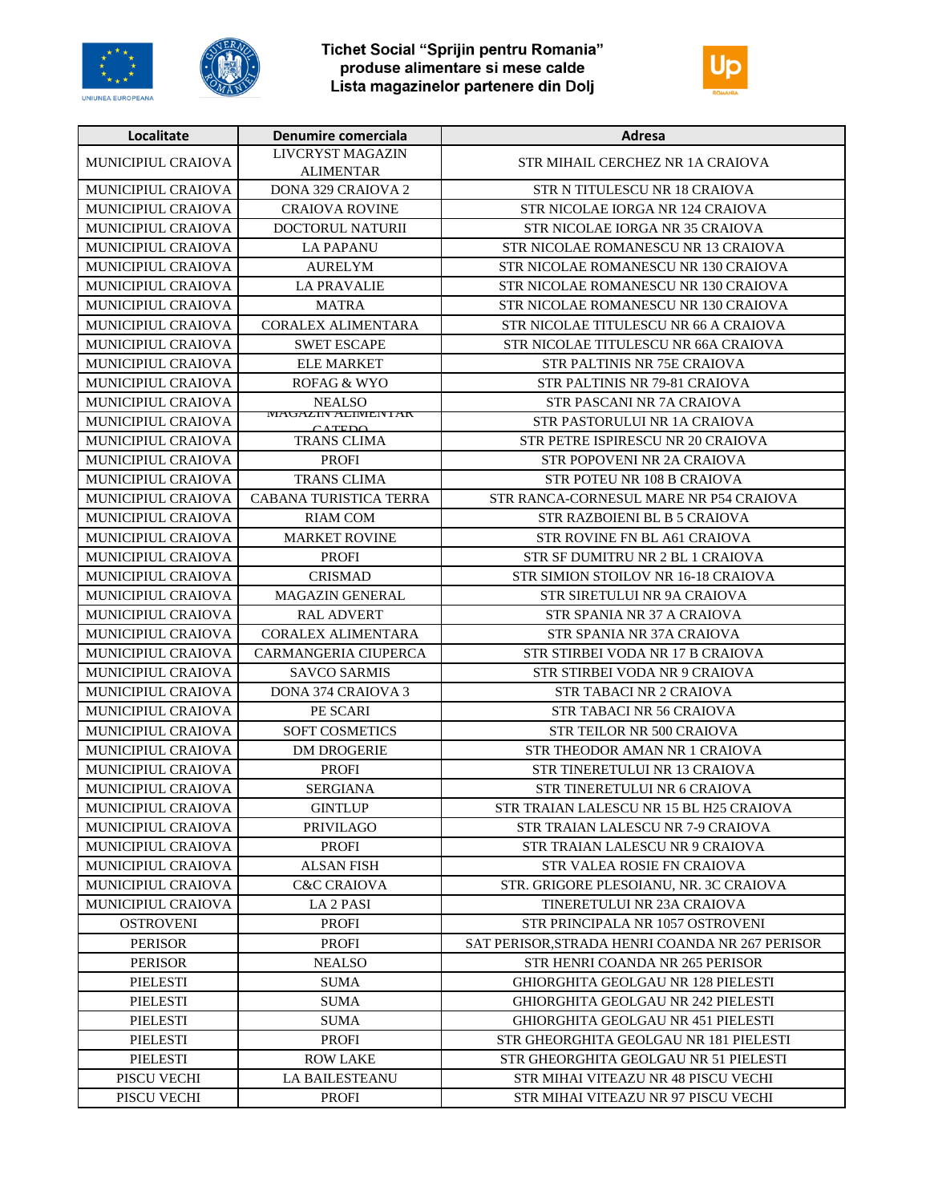





| Localitate                | Denumire comerciala                         | Adresa                                         |
|---------------------------|---------------------------------------------|------------------------------------------------|
| MUNICIPIUL CRAIOVA        | LIVCRYST MAGAZIN<br><b>ALIMENTAR</b>        | STR MIHAIL CERCHEZ NR 1A CRAIOVA               |
| MUNICIPIUL CRAIOVA        | <b>DONA 329 CRAIOVA 2</b>                   | STR N TITULESCU NR 18 CRAIOVA                  |
| MUNICIPIUL CRAIOVA        | <b>CRAIOVA ROVINE</b>                       | STR NICOLAE IORGA NR 124 CRAIOVA               |
| MUNICIPIUL CRAIOVA        | <b>DOCTORUL NATURII</b>                     | STR NICOLAE IORGA NR 35 CRAIOVA                |
| <b>MUNICIPIUL CRAIOVA</b> | <b>LA PAPANU</b>                            | STR NICOLAE ROMANESCU NR 13 CRAIOVA            |
| MUNICIPIUL CRAIOVA        | <b>AURELYM</b>                              | STR NICOLAE ROMANESCU NR 130 CRAIOVA           |
| <b>MUNICIPIUL CRAIOVA</b> | <b>LA PRAVALIE</b>                          | STR NICOLAE ROMANESCU NR 130 CRAIOVA           |
| MUNICIPIUL CRAIOVA        | <b>MATRA</b>                                | STR NICOLAE ROMANESCU NR 130 CRAIOVA           |
| MUNICIPIUL CRAIOVA        | <b>CORALEX ALIMENTARA</b>                   | STR NICOLAE TITULESCU NR 66 A CRAIOVA          |
| MUNICIPIUL CRAIOVA        | <b>SWET ESCAPE</b>                          | STR NICOLAE TITULESCU NR 66A CRAIOVA           |
| MUNICIPIUL CRAIOVA        | <b>ELE MARKET</b>                           | STR PALTINIS NR 75E CRAIOVA                    |
| MUNICIPIUL CRAIOVA        | ROFAG & WYO                                 | STR PALTINIS NR 79-81 CRAIOVA                  |
| MUNICIPIUL CRAIOVA        | <b>NEALSO</b>                               | STR PASCANI NR 7A CRAIOVA                      |
| MUNICIPIUL CRAIOVA        | <b>WIAUAZIIN ALIMENTAN</b><br>$\alpha$ TEDA | STR PASTORULUI NR 1A CRAIOVA                   |
| <b>MUNICIPIUL CRAIOVA</b> | <b>TRANS CLIMA</b>                          | STR PETRE ISPIRESCU NR 20 CRAIOVA              |
| MUNICIPIUL CRAIOVA        | <b>PROFI</b>                                | <b>STR POPOVENI NR 2A CRAIOVA</b>              |
| MUNICIPIUL CRAIOVA        | <b>TRANS CLIMA</b>                          | STR POTEU NR 108 B CRAIOVA                     |
| <b>MUNICIPIUL CRAIOVA</b> | CABANA TURISTICA TERRA                      | STR RANCA-CORNESUL MARE NR P54 CRAIOVA         |
| <b>MUNICIPIUL CRAIOVA</b> | <b>RIAM COM</b>                             | STR RAZBOIENI BL B 5 CRAIOVA                   |
| MUNICIPIUL CRAIOVA        | <b>MARKET ROVINE</b>                        | STR ROVINE FN BL A61 CRAIOVA                   |
| MUNICIPIUL CRAIOVA        | <b>PROFI</b>                                | STR SF DUMITRU NR 2 BL 1 CRAIOVA               |
| MUNICIPIUL CRAIOVA        | <b>CRISMAD</b>                              | STR SIMION STOILOV NR 16-18 CRAIOVA            |
| MUNICIPIUL CRAIOVA        | MAGAZIN GENERAL                             | STR SIRETULUI NR 9A CRAIOVA                    |
| MUNICIPIUL CRAIOVA        | <b>RAL ADVERT</b>                           | STR SPANIA NR 37 A CRAIOVA                     |
| MUNICIPIUL CRAIOVA        | <b>CORALEX ALIMENTARA</b>                   | STR SPANIA NR 37A CRAIOVA                      |
| MUNICIPIUL CRAIOVA        | CARMANGERIA CIUPERCA                        | STR STIRBEI VODA NR 17 B CRAIOVA               |
| MUNICIPIUL CRAIOVA        | <b>SAVCO SARMIS</b>                         | STR STIRBEI VODA NR 9 CRAIOVA                  |
| MUNICIPIUL CRAIOVA        | DONA 374 CRAIOVA 3                          | <b>STR TABACI NR 2 CRAIOVA</b>                 |
| MUNICIPIUL CRAIOVA        | PE SCARI                                    | STR TABACI NR 56 CRAIOVA                       |
| <b>MUNICIPIUL CRAIOVA</b> | <b>SOFT COSMETICS</b>                       | <b>STR TEILOR NR 500 CRAIOVA</b>               |
| MUNICIPIUL CRAIOVA        | <b>DM DROGERIE</b>                          | STR THEODOR AMAN NR 1 CRAIOVA                  |
| MUNICIPIUL CRAIOVA        | <b>PROFI</b>                                | STR TINERETULUI NR 13 CRAIOVA                  |
| MUNICIPIUL CRAIOVA        | <b>SERGIANA</b>                             | STR TINERETULUI NR 6 CRAIOVA                   |
| MUNICIPIUL CRAIOVA        | <b>GINTLUP</b>                              | STR TRAIAN LALESCU NR 15 BL H25 CRAIOVA        |
| <b>MUNICIPIUL CRAIOVA</b> | <b>PRIVILAGO</b>                            | STR TRAIAN LALESCU NR 7-9 CRAIOVA              |
| <b>MUNICIPIUL CRAIOVA</b> | <b>PROFI</b>                                | STR TRAIAN LALESCU NR 9 CRAIOVA                |
| <b>MUNICIPIUL CRAIOVA</b> | ALSAN FISH                                  | STR VALEA ROSIE FN CRAIOVA                     |
| MUNICIPIUL CRAIOVA        | <b>C&amp;C CRAIOVA</b>                      | STR. GRIGORE PLESOIANU. NR. 3C CRAIOVA         |
| MUNICIPIUL CRAIOVA        | <b>LA 2 PASI</b>                            | TINERETULUI NR 23A CRAIOVA                     |
| <b>OSTROVENI</b>          | <b>PROFI</b>                                | STR PRINCIPALA NR 1057 OSTROVENI               |
| <b>PERISOR</b>            | <b>PROFI</b>                                | SAT PERISOR STRADA HENRI COANDA NR 267 PERISOR |
| <b>PERISOR</b>            | <b>NEALSO</b>                               | STR HENRI COANDA NR 265 PERISOR                |
| <b>PIELESTI</b>           | <b>SUMA</b>                                 | GHIORGHITA GEOLGAU NR 128 PIELESTI             |
| PIELESTI                  | <b>SUMA</b>                                 | <b>GHIORGHITA GEOLGAU NR 242 PIELESTI</b>      |
| PIELESTI                  | SUMA                                        | GHIORGHITA GEOLGAU NR 451 PIELESTI             |
| PIELESTI                  | <b>PROFI</b>                                | STR GHEORGHITA GEOLGAU NR 181 PIELESTI         |
| PIELESTI                  | <b>ROW LAKE</b>                             | STR GHEORGHITA GEOLGAU NR 51 PIELESTI          |
| PISCU VECHI               | LA BAILESTEANU                              | STR MIHAI VITEAZU NR 48 PISCU VECHI            |
| PISCU VECHI               | PROFI                                       | STR MIHAI VITEAZU NR 97 PISCU VECHI            |